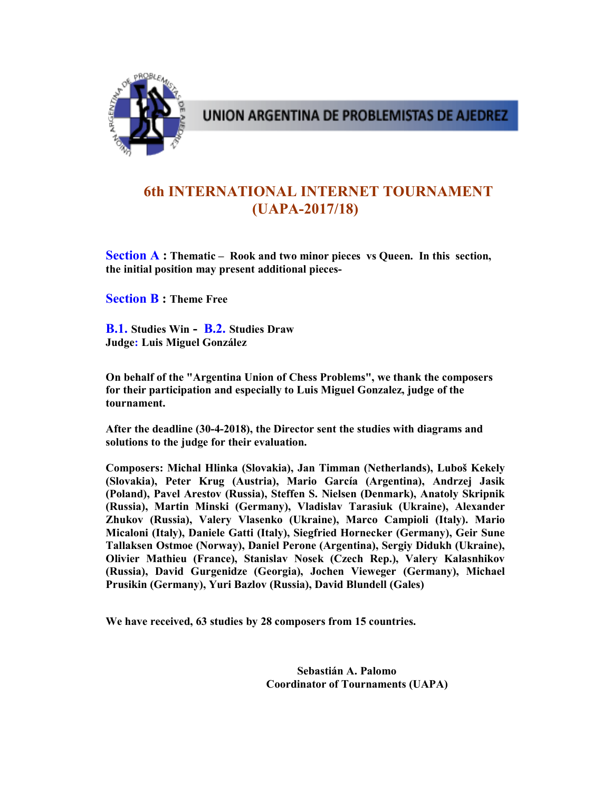

UNION ARGENTINA DE PROBLEMISTAS DE AJEDREZ

# 6th INTERNATIONAL INTERNET TOURNAMENT (UAPA-2017/18)

Section A: Thematic – Rook and two minor pieces vs Queen. In this section, the initial position may present additional pieces-

Section B : Theme Free

B.1. Studies Win - B.2. Studies Draw Judge: Luis Miguel González

On behalf of the "Argentina Union of Chess Problems", we thank the composers for their participation and especially to Luis Miguel Gonzalez, judge of the tournament.

After the deadline (30-4-2018), the Director sent the studies with diagrams and solutions to the judge for their evaluation.

Composers: Michal Hlinka (Slovakia), Jan Timman (Netherlands), Luboš Kekely (Slovakia), Peter Krug (Austria), Mario García (Argentina), Andrzej Jasik (Poland), Pavel Arestov (Russia), Steffen S. Nielsen (Denmark), Anatoly Skripnik (Russia), Martin Minski (Germany), Vladislav Tarasiuk (Ukraine), Alexander Zhukov (Russia), Valery Vlasenko (Ukraine), Marco Campioli (Italy). Mario Micaloni (Italy), Daniele Gatti (Italy), Siegfried Hornecker (Germany), Geir Sune Tallaksen Ostmoe (Norway), Daniel Perone (Argentina), Sergiy Didukh (Ukraine), Olivier Mathieu (France), Stanislav Nosek (Czech Rep.), Valery Kalasnhikov (Russia), David Gurgenidze (Georgia), Jochen Vieweger (Germany), Michael Prusikin (Germany), Yuri Bazlov (Russia), David Blundell (Gales)

We have received, 63 studies by 28 composers from 15 countries.

 Sebastián A. Palomo Coordinator of Tournaments (UAPA)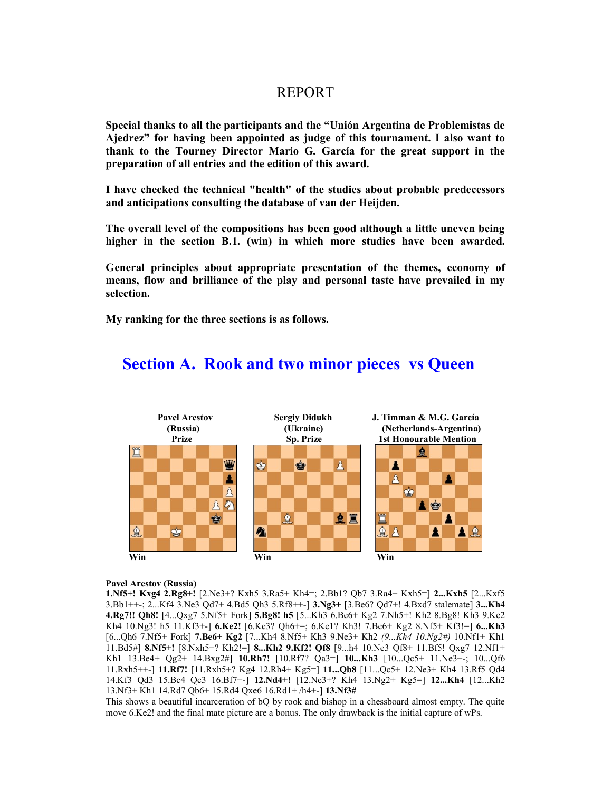## REPORT

Special thanks to all the participants and the "Unión Argentina de Problemistas de Ajedrez" for having been appointed as judge of this tournament. I also want to thank to the Tourney Director Mario G. García for the great support in the preparation of all entries and the edition of this award.

I have checked the technical "health" of the studies about probable predecessors and anticipations consulting the database of van der Heijden.

The overall level of the compositions has been good although a little uneven being higher in the section B.1. (win) in which more studies have been awarded.

General principles about appropriate presentation of the themes, economy of means, flow and brilliance of the play and personal taste have prevailed in my selection.

My ranking for the three sections is as follows.



## Section A. Rook and two minor pieces vs Queen

## Pavel Arestov (Russia)

1.Nf5+! Kxg4 2.Rg8+! [2.Ne3+? Kxh5 3.Ra5+ Kh4=; 2.Bb1? Qb7 3.Ra4+ Kxh5=] 2...Kxh5 [2...Kxf5 3.Bb1++-; 2...Kf4 3.Ne3 Qd7+ 4.Bd5 Qh3 5.Rf8++-] 3.Ng3+ [3.Be6? Qd7+! 4.Bxd7 stalemate] 3...Kh4 4.Rg7!! Qh8! [4...Qxg7 5.Nf5+ Fork] 5.Bg8! h5 [5...Kh3 6.Be6+ Kg2 7.Nh5+! Kh2 8.Bg8! Kh3 9.Ke2 Kh4 10.Ng3! h5 11.Kf3+-] 6.Ke2! [6.Ke3? Qh6+=; 6.Ke1? Kh3! 7.Be6+ Kg2 8.Nf5+ Kf3!=] 6...Kh3 [6...Qh6 7.Nf5+ Fork] 7.Be6+ Kg2 [7...Kh4 8.Nf5+ Kh3 9.Ne3+ Kh2 (9...Kh4 10.Ng2#) 10.Nf1+ Kh1 11.Bd5#] 8.Nf5+! [8.Nxh5+? Kh2!=] 8...Kh2 9.Kf2! Qf8 [9...h4 10.Ne3 Qf8+ 11.Bf5! Qxg7 12.Nf1+ Kh1 13.Be4+ Qg2+ 14.Bxg2#] 10.Rh7! [10.Rf7? Qa3=] 10...Kh3 [10...Qc5+ 11.Ne3+-; 10...Qf6 11.Rxh5++-] 11.Rf7! [11.Rxh5+? Kg4 12.Rh4+ Kg5=] 11...Qb8 [11...Qc5+ 12.Ne3+ Kh4 13.Rf5 Qd4 14.Kf3 Qd3 15.Bc4 Qc3 16.Bf7+-] 12.Nd4+! [12.Ne3+? Kh4 13.Ng2+ Kg5=] 12...Kh4 [12...Kh2 13.Nf3+ Kh1 14.Rd7 Qb6+ 15.Rd4 Qxe6 16.Rd1+ /h4+-] 13.Nf3#

This shows a beautiful incarceration of bQ by rook and bishop in a chessboard almost empty. The quite move 6.Ke2! and the final mate picture are a bonus. The only drawback is the initial capture of wPs.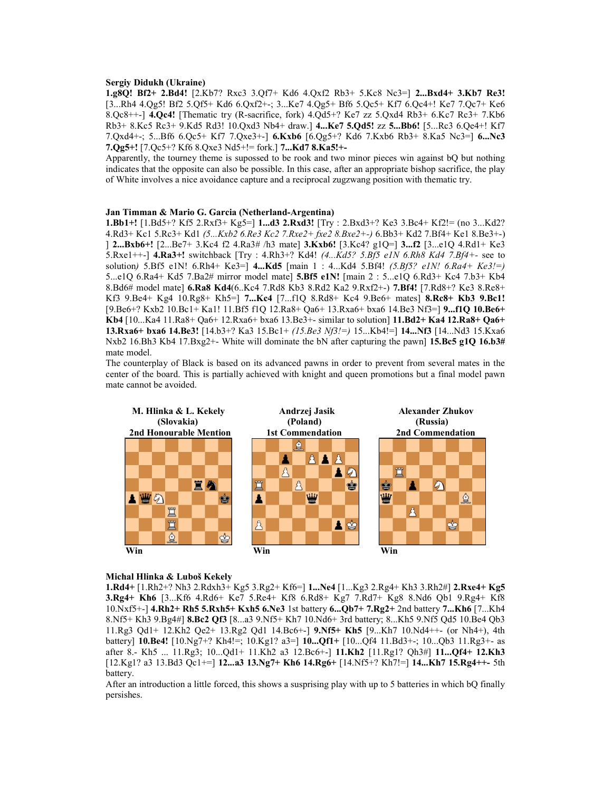## Sergiy Didukh (Ukraine)

1.g8Q! Bf2+ 2.Bd4! [2.Kb7? Rxc3 3.Qf7+ Kd6 4.Qxf2 Rb3+ 5.Kc8 Nc3=] 2...Bxd4+ 3.Kb7 Re3! [3...Rh4 4.Qg5! Bf2 5.Qf5+ Kd6 6.Qxf2+-; 3...Ke7 4.Qg5+ Bf6 5.Qc5+ Kf7 6.Qc4+! Ke7 7.Qc7+ Ke6 8.Qc8++-] 4.Qc4! [Thematic try (R-sacrifice, fork) 4.Qd5+? Ke7 zz 5.Qxd4 Rb3+ 6.Kc7 Rc3+ 7.Kb6 Rb3+ 8.Kc5 Rc3+ 9.Kd5 Rd3! 10.Qxd3 Nb4+ draw.] 4...Ke7 5.Qd5! zz 5...Bb6! [5...Rc3 6.Qe4+! Kf7 7.Qxd4+-; 5...Bf6 6.Qc5+ Kf7 7.Qxe3+-] 6.Kxb6 [6.Qg5+? Kd6 7.Kxb6 Rb3+ 8.Ka5 Nc3=] 6...Nc3 7.Qg5+! [7.Qc5+? Kf6 8.Qxe3 Nd5+!= fork.] 7...Kd7 8.Ka5!+-

Apparently, the tourney theme is supossed to be rook and two minor pieces win against bQ but nothing indicates that the opposite can also be possible. In this case, after an appropriate bishop sacrifice, the play of White involves a nice avoidance capture and a reciprocal zugzwang position with thematic try.

## Jan Timman & Mario G. Garcia (Netherland-Argentina)

1.Bb1+! [1.Bd5+? Kf5 2.Rxf3+ Kg5=] 1...d3 2.Rxd3! [Try : 2.Bxd3+? Ke3 3.Bc4+ Kf2!= (no 3...Kd2? 4.Rd3+ Kc1 5.Rc3+ Kd1 (5...Kxb2 6.Re3 Kc2 7.Rxe2+ fxe2 8.Bxe2+-) 6.Bb3+ Kd2 7.Bf4+ Ke1 8.Be3+-) ] 2...Bxb6+! [2...Be7+ 3.Kc4 f2 4.Ra3# /h3 mate] 3.Kxb6! [3.Kc4? g1Q=] 3...f2 [3...e1Q 4.Rd1+ Ke3 5.Rxe1++-] 4.Ra3+! switchback  $[Try : 4.Rh3+? Kd4! (4...Kd5? 5.Bf5 e1N 6.Rh8 Kd4 7.Bf4+- see to]$ solution) 5.Bf5 e1N! 6.Rh4+ Ke3=1 4...Kd5 [main 1 : 4...Kd4 5.Bf4! (5.Bf5? e1N! 6.Ra4+ Ke3!=) 5...e1Q 6.Ra4+ Kd5 7.Ba2# mirror model mate] 5.Bf5 e1N! [main 2 : 5...e1Q 6.Rd3+ Kc4 7.b3+ Kb4 8.Bd6# model mate] 6.Ra8 Kd4(6..Kc4 7.Rd8 Kb3 8.Rd2 Ka2 9.Rxf2+-) 7.Bf4! [7.Rd8+? Ke3 8.Re8+ Kf3 9.Be4+ Kg4 10.Rg8+ Kh5=] 7...Kc4 [7...f1Q 8.Rd8+ Kc4 9.Be6+ mates] 8.Rc8+ Kb3 9.Bc1! [9.Be6+? Kxb2 10.Bc1+ Ka1! 11.Bf5 f1Q 12.Ra8+ Qa6+ 13.Rxa6+ bxa6 14.Be3 Nf3=] 9...f1Q 10.Be6+ Kb4 [10...Ka4 11.Ra8+ Qa6+ 12.Rxa6+ bxa6 13.Be3+- similar to solution] 11.Bd2+ Ka4 12.Ra8+ Qa6+ 13.Rxa6+ bxa6 14.Be3! [14.b3+? Ka3 15.Bc1+ (15.Be3 Nf3!=) 15...Kb4!=] 14...Nf3 [14...Nd3 15.Kxa6 Nxb2 16.Bh3 Kb4 17.Bxg2+- White will dominate the bN after capturing the pawn] 15.Bc5 g1Q 16.b3# mate model.

The counterplay of Black is based on its advanced pawns in order to prevent from several mates in the center of the board. This is partially achieved with knight and queen promotions but a final model pawn mate cannot be avoided.



#### Michal Hlinka & Luboš Kekely

1.Rd4+ [1.Rh2+? Nh3 2.Rdxh3+ Kg5 3.Rg2+ Kf6=] 1...Ne4 [1...Kg3 2.Rg4+ Kh3 3.Rh2#] 2.Rxe4+ Kg5 3.Rg4+ Kh6 [3...Kf6 4.Rd6+ Ke7 5.Re4+ Kf8 6.Rd8+ Kg7 7.Rd7+ Kg8 8.Nd6 Qb1 9.Rg4+ Kf8 10.Nxf5+-] 4.Rh2+ Rh5 5.Rxh5+ Kxh5 6.Ne3 1st battery 6...Qb7+ 7.Rg2+ 2nd battery 7...Kh6 [7...Kh4 8.Nf5+ Kh3 9.Bg4#] 8.Bc2 Qf3 [8...a3 9.Nf5+ Kh7 10.Nd6+ 3rd battery; 8...Kh5 9.Nf5 Qd5 10.Be4 Qb3 11.Rg3 Qd1+ 12.Kh2 Qe2+ 13.Rg2 Qd1 14.Bc6+-] 9.Nf5+ Kh5 [9...Kh7 10.Nd4++- (or Nh4+), 4th battery] **10.Be4!** [10.Ng7+? Kh4!=; 10.Kg1? a3=] **10...Qf1**+ [10...Qf4 11.Bd3+-; 10...Qb3 11.Rg3+- as after 8.- Kh5 ... 11.Rg3; 10...Qd1+ 11.Kh2 a3 12.Bc6+-] 11.Kh2 [11.Rg1? Qh3#] 11...Qf4+ 12.Kh3 [12.Kg1? a3 13.Bd3 Qc1+=] 12...a3 13.Ng7+ Kh6 14.Rg6+ [14.Nf5+? Kh7!=] 14...Kh7 15.Rg4++- 5th battery.

After an introduction a little forced, this shows a susprising play with up to 5 batteries in which bQ finally persishes.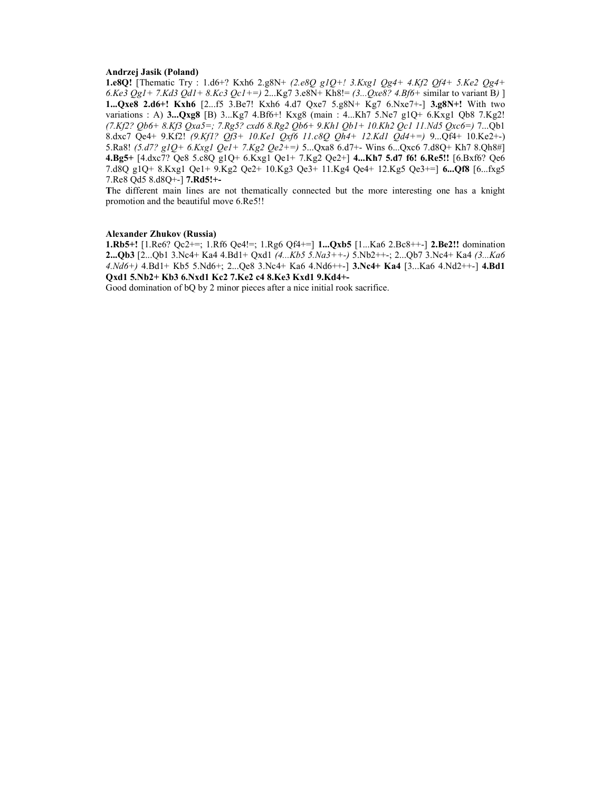## Andrzej Jasik (Poland)

1.e8Q! [Thematic Try : 1.d6+? Kxh6 2.g8N+ (2.e8Q g1Q+! 3.Kxg1 Qg4+ 4.Kf2 Qf4+ 5.Ke2 Qg4+ 6.Ke3 Qg1 + 7.Kd3 Qd1 + 8.Kc3 Qc1 + =  $\frac{1}{2}$ ...Kg7 3.e8N + Kh8! =  $\frac{3}{2}$ ...Qxe8? 4.Bf6 + similar to variant B) ] 1...Qxe8 2.d6+! Kxh6 [2...f5 3.Be7! Kxh6 4.d7 Qxe7 5.g8N+ Kg7 6.Nxe7+-] 3.g8N+! With two variations : A) 3...Qxg8 [B) 3...Kg7 4.Bf6+! Kxg8 (main : 4...Kh7 5.Ne7 g1Q+ 6.Kxg1 Qb8 7.Kg2! (7.Kf2? Qb6+ 8.Kf3 Qxa5=; 7.Rg5? cxd6 8.Rg2 Qb6+ 9.Kh1 Qb1+ 10.Kh2 Qc1 11.Nd5 Qxc6=) 7...Qb1 8.dxc7 Qe4+ 9.Kf2! (9.Kf1? Qf3+ 10.Ke1 Qxf6 11.c8Q Qh4+ 12.Kd1 Qd4+=) 9...Qf4+ 10.Ke2+-) 5.Ra8! (5.d7? g1Q+ 6.Kxg1 Qe1+ 7.Kg2 Qe2+=) 5...Qxa8 6.d7+- Wins 6...Qxc6 7.d8Q+ Kh7 8.Qh8#] 4.Bg5+ [4.dxc7? Qe8 5.c8Q g1Q+ 6.Kxg1 Qe1+ 7.Kg2 Qe2+] 4...Kh7 5.d7 f6! 6.Re5!! [6.Bxf6? Qe6 7.d8Q g1Q+ 8.Kxg1 Qe1+ 9.Kg2 Qe2+ 10.Kg3 Qe3+ 11.Kg4 Qe4+ 12.Kg5 Qe3+=] 6...Qf8 [6...fxg5 7.Re8 Qd5 8.d8Q+-] 7.Rd5!+-

The different main lines are not thematically connected but the more interesting one has a knight promotion and the beautiful move 6.Re5!!

## Alexander Zhukov (Russia)

1.Rb5+! [1.Re6? Qc2+=; 1.Rf6 Qe4!=; 1.Rg6 Qf4+=] 1...Qxb5 [1...Ka6 2.Bc8++-] 2.Be2!! domination 2...Qb3 [2...Qb1 3.Nc4+ Ka4 4.Bd1+ Qxd1 (4...Kb5 5.Na3++-) 5.Nb2++-; 2...Qb7 3.Nc4+ Ka4 (3...Ka6 4.Nd6+) 4.Bd1+ Kb5 5.Nd6+; 2...Qe8 3.Nc4+ Ka6 4.Nd6++-] 3.Nc4+ Ka4 [3...Ka6 4.Nd2++-] 4.Bd1 Qxd1 5.Nb2+ Kb3 6.Nxd1 Kc2 7.Ke2 c4 8.Ke3 Kxd1 9.Kd4+-

Good domination of bQ by 2 minor pieces after a nice initial rook sacrifice.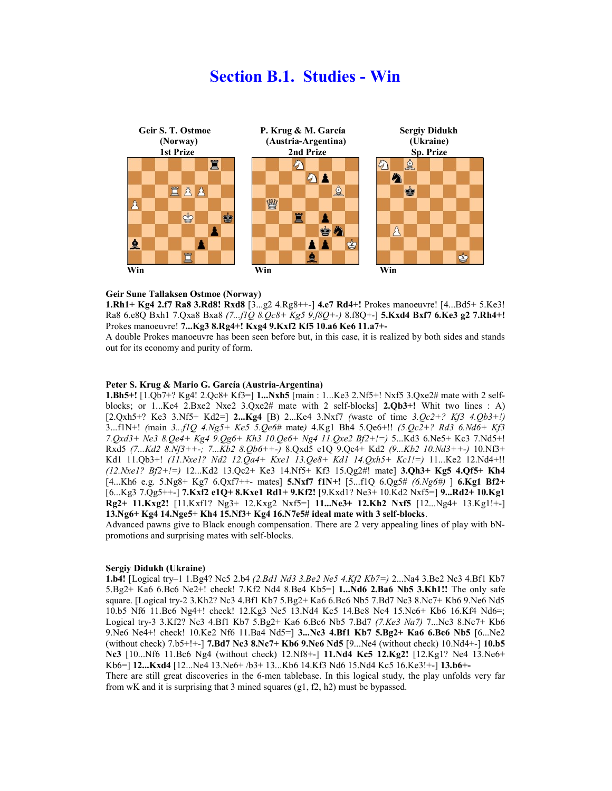## Section B.1. Studies - Win



#### Geir Sune Tallaksen Ostmoe (Norway)

1.Rh1+ Kg4 2.f7 Ra8 3.Rd8! Rxd8 [3...g2 4.Rg8++-] 4.e7 Rd4+! Prokes manoeuvre! [4...Bd5+ 5.Ke3! Ra8 6.e8Q Bxh1 7.Qxa8 Bxa8 (7...f1Q 8.Qc8+ Kg5 9.f8Q+-) 8.f8Q+-] 5.Kxd4 Bxf7 6.Ke3 g2 7.Rh4+! Prokes manoeuvre! 7...Kg3 8.Rg4+! Kxg4 9.Kxf2 Kf5 10.a6 Ke6 11.a7+-

A double Prokes manoeuvre has been seen before but, in this case, it is realized by both sides and stands out for its economy and purity of form.

## Peter S. Krug & Mario G. García (Austria-Argentina)

1.Bh5+! [1.Qb7+? Kg4! 2.Qc8+ Kf3=] 1...Nxh5 [main : 1...Ke3 2.Nf5+! Nxf5 3.Qxe2# mate with 2 selfblocks; or 1...Ke4 2.Bxe2 Nxe2 3.Qxe2# mate with 2 self-blocks]  $2.Qb3+!$  Whit two lines : A)  $[2.Qxh5+?$  Ke3 3.Nf5+ Kd2=] 2...Kg4 [B) 2...Ke4 3.Nxf7 (waste of time 3. $Qc2+?$  Kf3 4. $Qb3+!/$ 3...f1N+! (main 3...f1Q 4.Ng5+ Ke5 5.Qe6# mate) 4.Kg1 Bh4 5.Qe6+!! (5.Qc2+? Rd3 6.Nd6+ Kf3 7.Qxd3+ Ne3 8.Qe4+ Kg4 9.Qg6+ Kh3 10.Qe6+ Ng4 11.Qxe2 Bf2+!=) 5...Kd3 6.Ne5+ Kc3 7.Nd5+! Rxd5 (7...Kd2 8.Nf3++-; 7...Kb2 8.Qb6++-) 8.Qxd5 e1Q 9.Qc4+ Kd2 (9...Kb2 10.Nd3++-) 10.Nf3+ Kd1 11.Qb3+! (11.Nxe1? Nd2 12.Qa4+ Kxe1 13.Qe8+ Kd1 14.Qxh5+ Kc1!=) 11...Ke2 12.Nd4+!!  $(12.Nxe1? Bf2+/-) 12...Kd2 13.Qc2+ Ke3 14.Nf5+ Kf3 15.Qg2#! mate] 3.Qh3+ Kg5 4.Qf5+ Kh4$  $[4...Kh6 \text{ e.g. } 5.Ng8+ Kg7 \cdot 6.Qxf7++- \text{ mates}]$  5.Nxf7 f1N+! [5...f1Q 6.Qg5# (6.Ng6#) ] 6.Kg1 Bf2+ [6...Kg3 7.Qg5++-] 7.Kxf2 e1Q+ 8.Kxe1 Rd1+ 9.Kf2! [9.Kxd1? Ne3+ 10.Kd2 Nxf5=] 9...Rd2+ 10.Kg1  $Rg2+11.Kxg2!$  [11.Kxf1? Ng3+ 12.Kxg2 Nxf5=] 11...Ne3+ 12.Kh2 Nxf5 [12...Ng4+ 13.Kg1!+-] 13.Ng6+ Kg4 14.Nge5+ Kh4 15.Nf3+ Kg4 16.N7e5# ideal mate with 3 self-blocks.

Advanced pawns give to Black enough compensation. There are 2 very appealing lines of play with bNpromotions and surprising mates with self-blocks.

### Sergiy Didukh (Ukraine)

1.b4! [Logical try–1 1.Bg4? Nc5 2.b4 (2.Bd1 Nd3 3.Be2 Ne5 4.Kf2 Kb7=) 2...Na4 3.Be2 Nc3 4.Bf1 Kb7 5.Bg2+ Ka6 6.Bc6 Ne2+! check! 7.Kf2 Nd4 8.Be4 Kb5=] 1...Nd6 2.Ba6 Nb5 3.Kh1!! The only safe square. [Logical try-2 3.Kh2? Nc3 4.Bf1 Kb7 5.Bg2+ Ka6 6.Bc6 Nb5 7.Bd7 Nc3 8.Nc7+ Kb6 9.Ne6 Nd5 10.b5 Nf6 11.Bc6 Ng4+! check! 12.Kg3 Ne5 13.Nd4 Kc5 14.Be8 Nc4 15.Ne6+ Kb6 16.Kf4 Nd6=; Logical try-3 3.Kf2? Nc3 4.Bf1 Kb7 5.Bg2+ Ka6 6.Bc6 Nb5 7.Bd7 (7.Ke3 Na7) 7...Nc3 8.Nc7+ Kb6 9. Ne6 Ne4+! check! 10. Ke2 Nf6 11. Ba4 Nd5=] 3... Nc3 4. Bf1 Kb7 5. Bg2+ Ka6 6. Bc6 Nb5 [6... Ne2 (without check) 7.b5+!+-] 7.Bd7 Nc3 8.Nc7+ Kb6 9.Ne6 Nd5 [9...Ne4 (without check) 10.Nd4+-] 10.b5 Nc3 [10...Nf6 11.Bc6 Ng4 (without check) 12.Nf8+-] 11.Nd4 Kc5 12.Kg2! [12.Kg1? Ne4 13.Ne6+ Kb6=] 12...Kxd4 [12...Ne4 13.Ne6+ /b3+ 13...Kb6 14.Kf3 Nd6 15.Nd4 Kc5 16.Ke3!+-] 13.b6+- There are still great discoveries in the 6-men tablebase. In this logical study, the play unfolds very far

from wK and it is surprising that 3 mined squares (g1, f2, h2) must be bypassed.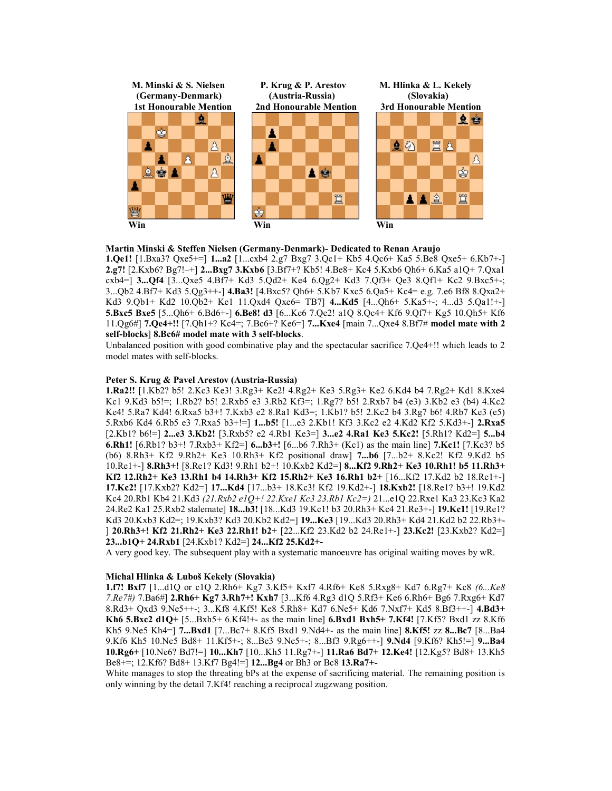

## Martin Minski & Steffen Nielsen (Germany-Denmark)- Dedicated to Renan Araujo

1.Qe1! [1.Bxa3? Qxe5+=] 1...a2 [1...cxb4 2.g7 Bxg7 3.Qc1+ Kb5 4.Qc6+ Ka5 5.Be8 Qxe5+ 6.Kb7+-] 2.g7! [2.Kxb6? Bg7!–+] 2...Bxg7 3.Kxb6 [3.Bf7+? Kb5! 4.Be8+ Kc4 5.Kxb6 Qh6+ 6.Ka5 a1Q+ 7.Qxa1 cxb4=] 3...Qf4 [3...Qxe5 4.Bf7+ Kd3 5.Qd2+ Ke4 6.Qg2+ Kd3 7.Qf3+ Qe3 8.Qf1+ Kc2 9.Bxc5+-; 3...Qb2 4.Bf7+ Kd3 5.Qg3++-] 4.Ba3! [4.Bxc5? Qh6+ 5.Kb7 Kxc5 6.Qa5+ Kc4= e.g. 7.e6 Bf8 8.Qxa2+ Kd3 9.Qb1+ Kd2 10.Qb2+ Ke1 11.Qxd4 Qxe6= TB7] 4...Kd5 [4...Qh6+ 5.Ka5+-; 4...d3 5.Qa1!+-] 5.Bxc5 Bxe5 [5...Qh6+ 6.Bd6+-] 6.Be8! d3 [6...Ke6 7.Qe2! a1Q 8.Qc4+ Kf6 9.Qf7+ Kg5 10.Qh5+ Kf6 11.Qg6#] 7.Qe4+!! [7.Qh1+? Kc4=; 7.Bc6+? Ke6=] 7...Kxe4 [main 7...Qxe4 8.Bf7# model mate with 2 self-blocks] 8.Bc6# model mate with 3 self-blocks.

Unbalanced position with good combinative play and the spectacular sacrifice 7.Qe4+!! which leads to 2 model mates with self-blocks.

## Peter S. Krug & Pavel Arestov (Austria-Russia)

1.Ra2!! [1.Kb2? b5! 2.Kc3 Ke3! 3.Rg3+ Ke2! 4.Rg2+ Ke3 5.Rg3+ Ke2 6.Kd4 b4 7.Rg2+ Kd1 8.Kxe4 Kc1 9.Kd3 b5!=; 1.Rb2? b5! 2.Rxb5 e3 3.Rb2 Kf3=; 1.Rg7? b5! 2.Rxb7 b4 (e3) 3.Kb2 e3 (b4) 4.Kc2 Ke4! 5.Ra7 Kd4! 6.Rxa5 b3+! 7.Kxb3 e2 8.Ra1 Kd3=; 1.Kb1? b5! 2.Kc2 b4 3.Rg7 b6! 4.Rb7 Ke3 (e5) 5.Rxb6 Kd4 6.Rb5 e3 7.Rxa5 b3+!=] 1...b5! [1...e3 2.Kb1! Kf3 3.Kc2 e2 4.Kd2 Kf2 5.Kd3+-] 2.Rxa5 [2.Kb1? b6!=] 2...e3 3.Kb2! [3.Rxb5? e2 4.Rb1 Ke3=] 3...e2 4.Ra1 Ke3 5.Kc2! [5.Rh1? Kd2=] 5...b4 6.Rh1!  $[6.Rb1? b3+]$  7.Rxb3+ Kf2= $] 6...b3+! [6...b67.Rh3+ (Kc1)$  as the main line $] 7.Kc1$ !  $[7.Kc3? b5$ (b6) 8.Rh3+ Kf2 9.Rh2+ Ke3 10.Rh3+ Kf2 positional draw] 7...b6 [7...b2+ 8.Kc2! Kf2 9.Kd2 b5 10.Re1+-] 8.Rh3+! [8.Re1? Kd3! 9.Rh1 b2+! 10.Kxb2 Kd2=] 8...Kf2 9.Rh2+ Ke3 10.Rh1! b5 11.Rh3+ Kf2 12.Rh2+ Ke3 13.Rh1 b4 14.Rh3+ Kf2 15.Rh2+ Ke3 16.Rh1 b2+ [16...Kf2 17.Kd2 b2 18.Re1+-] 17.Kc2! [17.Kxb2? Kd2=] 17...Kd4 [17...b3+ 18.Kc3! Kf2 19.Kd2+-] 18.Kxb2! [18.Re1? b3+! 19.Kd2 Kc4 20.Rb1 Kb4 21.Kd3 (21.Rxb2 e1Q+! 22.Kxe1 Kc3 23.Rb1 Kc2=) 21...e1Q 22.Rxe1 Ka3 23.Kc3 Ka2 24.Re2 Ka1 25.Rxb2 stalemate] 18...b3! [18...Kd3 19.Kc1! b3 20.Rh3+ Kc4 21.Re3+-] 19.Kc1! [19.Re1? Kd3 20.Kxb3 Kd2=; 19.Kxb3? Kd3 20.Kb2 Kd2=] 19...Ke3 [19...Kd3 20.Rh3+ Kd4 21.Kd2 b2 22.Rb3+- ] 20.Rh3+! Kf2 21.Rh2+ Ke3 22.Rh1! b2+ [22...Kf2 23.Kd2 b2 24.Re1+-] 23.Kc2! [23.Kxb2? Kd2=] 23...b1Q+ 24.Rxb1 [24.Kxb1? Kd2=] 24...Kf2 25.Kd2+-

A very good key. The subsequent play with a systematic manoeuvre has original waiting moves by wR.

#### Michal Hlinka & Luboš Kekely (Slovakia)

1.f7! Bxf7 [1...d1Q or c1Q 2.Rh6+ Kg7 3.Kf5+ Kxf7 4.Rf6+ Ke8 5.Rxg8+ Kd7 6.Rg7+ Kc8 (6...Ke8 7.Re7#) 7.Ba6#] 2.Rh6+ Kg7 3.Rh7+! Kxh7 [3...Kf6 4.Rg3 d1Q 5.Rf3+ Ke6 6.Rh6+ Bg6 7.Rxg6+ Kd7 8.Rd3+ Qxd3 9.Ne5++-; 3...Kf8 4.Kf5! Ke8 5.Rh8+ Kd7 6.Ne5+ Kd6 7.Nxf7+ Kd5 8.Bf3++-] 4.Bd3+ Kh6 5.Bxc2 d1Q+ [5...Bxh5+ 6.Kf4!+- as the main line] 6.Bxd1 Bxh5+ 7.Kf4! [7.Kf5? Bxd1 zz 8.Kf6 Kh5 9.Ne5 Kh4=] 7...Bxd1 [7...Bc7+ 8.Kf5 Bxd1 9.Nd4+- as the main line] 8.Kf5! zz 8...Bc7 [8...Ba4 9.Kf6 Kh5 10.Ne5 Bd8+ 11.Kf5+-; 8...Be3 9.Ne5+-; 8...Bf3 9.Rg6++-] 9.Nd4 [9.Kf6? Kh5!=] 9...Ba4 10.Rg6+ [10.Ne6? Bd7!=] 10...Kh7 [10...Kh5 11.Rg7+-] 11.Ra6 Bd7+ 12.Ke4! [12.Kg5? Bd8+ 13.Kh5 Be8+=; 12.Kf6? Bd8+ 13.Kf7 Bg4!=] 12...Bg4 or Bh3 or Bc8 13.Ra7+-

White manages to stop the threating bPs at the expense of sacrificing material. The remaining position is only winning by the detail 7.Kf4! reaching a reciprocal zugzwang position.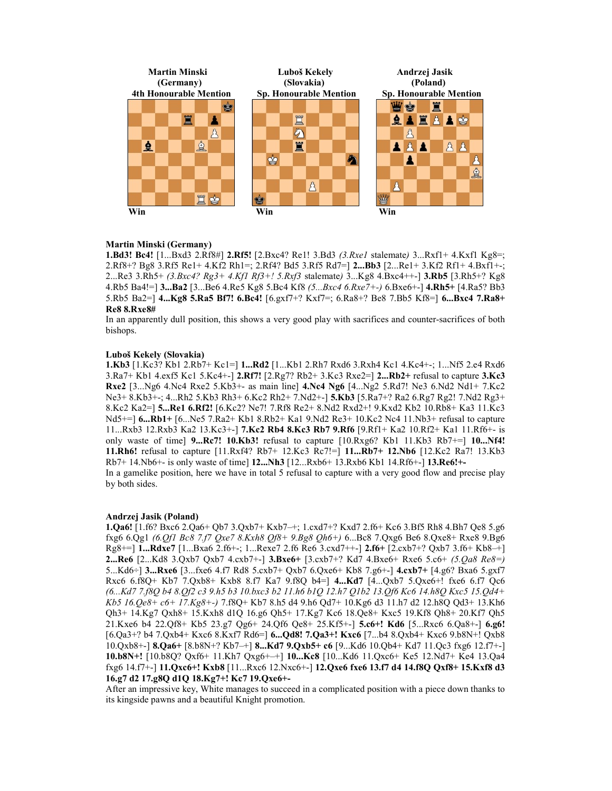

## Martin Minski (Germany)

1.Bd3! Bc4!  $[1...Bxd3 \ 2.Rf8#] \ 2.Rf5! \ [2.Bxc4? \ Re1! \ 3.Bd3 \ (3.Rxe1) \ 3.dlemate) \ 3...Rxf1+ \ 4.Kxf1 \ Kg8=$ ; 2.Rf8+? Bg8 3.Rf5 Re1+ 4.Kf2 Rh1=; 2.Rf4? Bd5 3.Rf5 Rd7=] 2...Bb3 [2...Re1+ 3.Kf2 Rf1+ 4.Bxf1+-; 2...Re3 3.Rh5+ (3.Bxc4? Rg3+ 4.Kf1 Rf3+! 5.Rxf3 stalemate) 3...Kg8 4.Bxc4++-] 3.Rb5 [3.Rh5+? Kg8 4.Rb5 Ba4!=] 3...Ba2 [3...Be6 4.Re5 Kg8 5.Bc4 Kf8 (5...Bxc4 6.Rxe7+-) 6.Bxe6+-] 4.Rh5+ [4.Ra5? Bb3 5.Rb5 Ba2=] 4...Kg8 5.Ra5 Bf7! 6.Bc4! [6.gxf7+? Kxf7=; 6.Ra8+? Be8 7.Bb5 Kf8=] 6...Bxc4 7.Ra8+ Re8 8.Rxe8#

In an apparently dull position, this shows a very good play with sacrifices and counter-sacrifices of both bishops.

## Luboš Kekely (Slovakia)

1.Kb3 [1.Kc3? Kb1 2.Rb7+ Kc1=] 1...Rd2 [1...Kb1 2.Rh7 Rxd6 3.Rxh4 Kc1 4.Kc4+-; 1...Nf5 2.e4 Rxd6 3.Ra7+ Kb1 4.exf5 Kc1 5.Kc4+-]  $2.RT$ ! [ $2.Rg$ 7? Rb2+  $3.Kc3$  Rxe $2=$ ]  $2...Rb2+$  refusal to capture  $3.Kc3$ Rxe2 [3...Ng6 4.Nc4 Rxe2 5.Kb3+- as main line] 4.Nc4 Ng6 [4...Ng2 5.Rd7! Ne3 6.Nd2 Nd1+ 7.Kc2 Ne3+ 8.Kb3+-; 4...Rh2 5.Kb3 Rh3+ 6.Kc2 Rh2+ 7.Nd2+-] 5.Kb3 [5.Ra7+? Ra2 6.Rg7 Rg2! 7.Nd2 Rg3+ 8.Kc2 Ka2=] 5...Re1 6.Rf2! [6.Kc2? Ne7! 7.Rf8 Re2+ 8.Nd2 Rxd2+! 9.Kxd2 Kb2 10.Rb8+ Ka3 11.Kc3 Nd5+=] **6...Rb1**+ [6...Ne5 7.Ra2+ Kb1 8.Rb2+ Ka1 9.Nd2 Re3+ 10.Kc2 Nc4 11.Nb3+ refusal to capture 11...Rxb3 12.Rxb3 Ka2 13.Kc3+-] 7.Kc2 Rb4 8.Kc3 Rb7 9.Rf6 [9.Rf1+ Ka2 10.Rf2+ Ka1 11.Rf6+- is only waste of time]  $9...Re7!$  10.Kb3! refusal to capture  $[10.Rxg6?$  Kb1 11.Kb3 Rb7+=]  $10...Nf4!$ 11.Rh6! refusal to capture [11.Rxf4? Rb7+ 12.Kc3 Rc7!=] 11...Rb7+ 12.Nb6 [12.Kc2 Ra7! 13.Kb3 Rb7+ 14.Nb6+- is only waste of time] 12...Nh3 [12...Rxb6+ 13.Rxb6 Kb1 14.Rf6+-] 13.Re6!+- In a gamelike position, here we have in total 5 refusal to capture with a very good flow and precise play

## Andrzej Jasik (Poland)

by both sides.

1.Qa6! [1.f6? Bxc6 2.Qa6+ Qb7 3.Qxb7+ Kxb7–+; 1.cxd7+? Kxd7 2.f6+ Kc6 3.Bf5 Rh8 4.Bh7 Qe8 5.g6 fxg6 6.Qg1 (6.Qf1 Bc8 7.f7 Qxe7 8.Kxh8 Qf8+ 9.Bg8 Qh6+) 6...Bc8 7.Qxg6 Be6 8.Qxe8+ Rxe8 9.Bg6 Rg8+=] 1...Rdxe7 [1...Bxa6 2.f6+-; 1...Rexe7 2.f6 Re6 3.cxd7++-] 2.f6+ [2.cxb7+? Qxb7 3.f6+ Kb8–+] 2...Re6 [2...Kd8 3.Qxb7 Qxb7 4.cxb7+-] 3.Bxe6+ [3.cxb7+? Kd7 4.Bxe6+ Rxe6 5.c6+ (5.Qa8 Re8=) 5...Kd6÷] 3...Rxe6 [3...fxe6 4.f7 Rd8 5.cxb7+ Qxb7 6.Qxe6+ Kb8 7.g6+-] 4.cxb7+ [4.g6? Bxa6 5.gxf7 Rxc6 6.f8Q+ Kb7 7.Qxb8+ Kxb8 8.f7 Ka7 9.f8Q b4=] 4...Kd7 [4...Qxb7 5.Qxe6+! fxe6 6.f7 Qc6 (6...Kd7 7.f8Q b4 8.Qf2 c3 9.h5 b3 10.bxc3 b2 11.h6 b1Q 12.h7 Q1b2 13.Qf6 Kc6 14.h8Q Kxc5 15.Qd4+ Kb5 16.Qe8+ c6+ 17.Kg8+-) 7.f8Q+ Kb7 8.h5 d4 9.h6 Qd7+ 10.Kg6 d3 11.h7 d2 12.h8Q Qd3+ 13.Kh6 Qh3+ 14.Kg7 Qxh8+ 15.Kxh8 d1Q 16.g6 Qh5+ 17.Kg7 Kc6 18.Qe8+ Kxc5 19.Kf8 Qh8+ 20.Kf7 Qh5 21.Kxe6 b4 22.Qf8+ Kb5 23.g7 Qg6+ 24.Qf6 Qe8+ 25.Kf5+-] 5.c6+! Kd6 [5...Rxc6 6.Qa8+-] 6.g6! [6.Qa3+? b4 7.Qxb4+ Kxc6 8.Kxf7 Rd6=] 6...Qd8! 7.Qa3+! Kxc6 [7...b4 8.Qxb4+ Kxc6 9.b8N+! Qxb8 10.Qxb8+-] 8.Qa6+ [8.b8N+? Kb7–+] 8...Kd7 9.Qxb5+ c6 [9...Kd6 10.Qb4+ Kd7 11.Qc3 fxg6 12.f7+-] 10.b8N+! [10.b8Q? Qxf6+ 11.Kh7 Qxg6+–+] 10...Kc8 [10...Kd6 11.Qxc6+ Ke5 12.Nd7+ Ke4 13.Qa4 fxg6 14.f7+-] 11.Qxc6+! Kxb8 [11...Rxc6 12.Nxc6+-] 12.Qxe6 fxe6 13.f7 d4 14.f8Q Qxf8+ 15.Kxf8 d3 16.g7 d2 17.g8Q d1Q 18.Kg7+! Kc7 19.Qxe6+-

After an impressive key, White manages to succeed in a complicated position with a piece down thanks to its kingside pawns and a beautiful Knight promotion.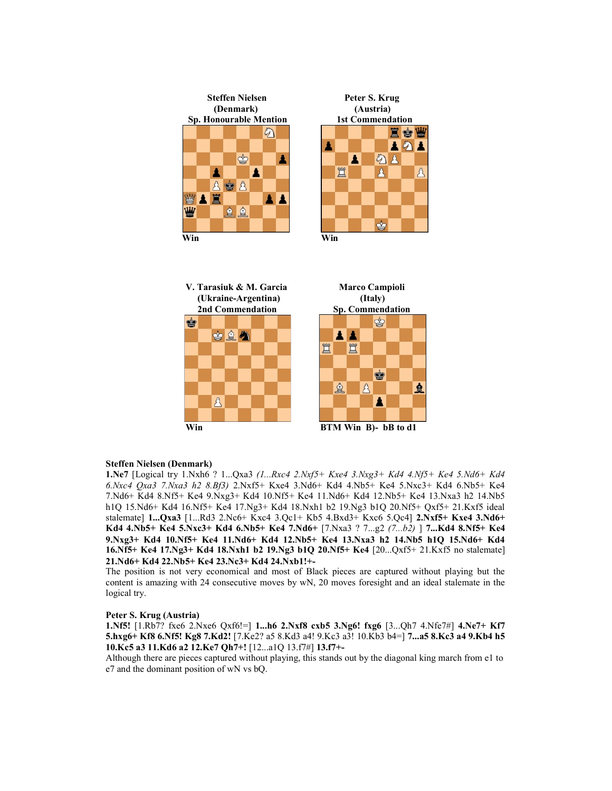





## Steffen Nielsen (Denmark)

1.Ne7 [Logical try 1.Nxh6 ? 1...Qxa3 (1...Rxc4 2.Nxf5+ Kxe4 3.Nxg3+ Kd4 4.Nf5+ Ke4 5.Nd6+ Kd4 6.Nxc4 Qxa3 7.Nxa3 h2 8.Bf3) 2.Nxf5+ Kxe4 3.Nd6+ Kd4 4.Nb5+ Ke4 5.Nxc3+ Kd4 6.Nb5+ Ke4 7.Nd6+ Kd4 8.Nf5+ Ke4 9.Nxg3+ Kd4 10.Nf5+ Ke4 11.Nd6+ Kd4 12.Nb5+ Ke4 13.Nxa3 h2 14.Nb5 h1Q 15.Nd6+ Kd4 16.Nf5+ Ke4 17.Ng3+ Kd4 18.Nxh1 b2 19.Ng3 b1Q 20.Nf5+ Qxf5+ 21.Kxf5 ideal stalemate] 1...Qxa3 [1...Rd3 2.Nc6+ Kxc4 3.Qc1+ Kb5 4.Bxd3+ Kxc6 5.Qc4] 2.Nxf5+ Kxe4 3.Nd6+ Kd4 4.Nb5+ Ke4 5.Nxc3+ Kd4 6.Nb5+ Ke4 7.Nd6+ [7.Nxa3 ? 7...g2 (7...b2) ] 7...Kd4 8.Nf5+ Ke4 9.Nxg3+ Kd4 10.Nf5+ Ke4 11.Nd6+ Kd4 12.Nb5+ Ke4 13.Nxa3 h2 14.Nb5 h1Q 15.Nd6+ Kd4 16.Nf5+ Ke4 17.Ng3+ Kd4 18.Nxh1 b2 19.Ng3 b1Q 20.Nf5+ Ke4 [20...Qxf5+ 21.Kxf5 no stalemate] 21.Nd6+ Kd4 22.Nb5+ Ke4 23.Nc3+ Kd4 24.Nxb1!+-

The position is not very economical and most of Black pieces are captured without playing but the content is amazing with 24 consecutive moves by wN, 20 moves foresight and an ideal stalemate in the logical try.

## Peter S. Krug (Austria)

1.Nf5! [1.Rb7? fxe6 2.Nxe6 Qxf6!=] 1...h6 2.Nxf8 cxb5 3.Ng6! fxg6 [3...Qh7 4.Nfe7#] 4.Ne7+ Kf7 5.hxg6+ Kf8 6.Nf5! Kg8 7.Kd2! [7.Ke2? a5 8.Kd3 a4! 9.Kc3 a3! 10.Kb3 b4=] 7...a5 8.Kc3 a4 9.Kb4 h5 10.Kc5 a3 11.Kd6 a2 12.Ke7 Qh7+! [12...a1Q 13.f7#] 13.f7+-

Although there are pieces captured without playing, this stands out by the diagonal king march from e1 to e7 and the dominant position of wN vs bQ.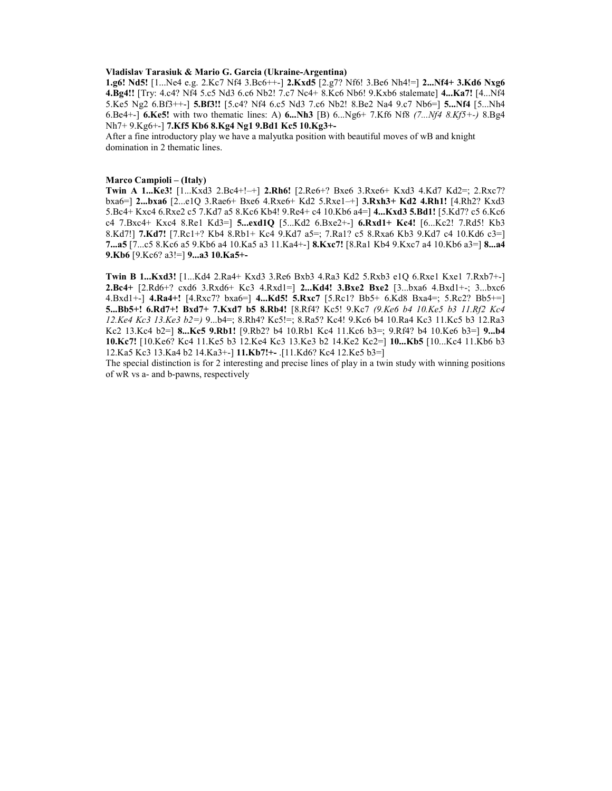## Vladislav Tarasiuk & Mario G. Garcia (Ukraine-Argentina)

1.g6! Nd5! [1...Ne4 e.g. 2.Kc7 Nf4 3.Bc6++-] 2.Kxd5 [2.g7? Nf6! 3.Be6 Nh4!=] 2...Nf4+ 3.Kd6 Nxg6 4.Bg4!! [Try: 4.c4? Nf4 5.c5 Nd3 6.c6 Nb2! 7.c7 Nc4+ 8.Kc6 Nb6! 9.Kxb6 stalemate] 4...Ka7! [4...Nf4 5.Ke5 Ng2 6.Bf3++-] 5.Bf3!! [5.c4? Nf4 6.c5 Nd3 7.c6 Nb2! 8.Be2 Na4 9.c7 Nb6=] 5...Nf4 [5...Nh4 6.Be4+-] 6.Ke5! with two thematic lines: A) 6...Nh3 [B) 6...Ng6+ 7.Kf6 Nf8  $(7...Nf4 8.Kf5+)$  8.Bg4 Nh7+ 9.Kg6+-] 7.Kf5 Kb6 8.Kg4 Ng1 9.Bd1 Kc5 10.Kg3+-

After a fine introductory play we have a malyutka position with beautiful moves of wB and knight domination in 2 thematic lines.

#### Marco Campioli – (Italy)

Twin A 1...Ke3! [1...Kxd3 2.Bc4+!–+] 2.Rh6! [2.Re6+? Bxe6 3.Rxe6+ Kxd3 4.Kd7 Kd2=; 2.Rxc7? bxa6=] 2...bxa6 [2...e1Q 3.Rae6+ Bxe6 4.Rxe6+ Kd2 5.Rxe1–+] 3.Rxh3+ Kd2 4.Rh1! [4.Rh2? Kxd3 5.Bc4+ Kxc4 6.Rxe2 c5 7.Kd7 a5 8.Kc6 Kb4! 9.Re4+ c4 10.Kb6 a4=] 4...Kxd3 5.Bd1! [5.Kd7? c5 6.Kc6 c4 7.Bxc4+ Kxc4 8.Re1 Kd3=] 5...exd1Q [5...Kd2 6.Bxe2+-] 6.Rxd1+ Kc4! [6...Kc2! 7.Rd5! Kb3 8.Kd7!] 7.Kd7! [7.Rc1+? Kb4 8.Rb1+ Kc4 9.Kd7 a5=; 7.Ra1? c5 8.Rxa6 Kb3 9.Kd7 c4 10.Kd6 c3=] 7...a5 [7...c5 8.Kc6 a5 9.Kb6 a4 10.Ka5 a3 11.Ka4+-] 8.Kxc7! [8.Ra1 Kb4 9.Kxc7 a4 10.Kb6 a3=] 8...a4 9.Kb6 [9.Kc6? a3!=] 9...a3 10.Ka5+-

Twin B 1...Kxd3! [1...Kd4 2.Ra4+ Kxd3 3.Re6 Bxb3 4.Ra3 Kd2 5.Rxb3 e1Q 6.Rxe1 Kxe1 7.Rxb7+-] 2.Bc4+ [2.Rd6+? cxd6 3.Rxd6+ Kc3 4.Rxd1=] 2...Kd4! 3.Bxe2 Bxe2 [3...bxa6 4.Bxd1+-; 3...bxc6 4.Bxd1+-] 4.Ra4+! [4.Rxc7? bxa6=] 4...Kd5! 5.Rxc7 [5.Rc1? Bb5+ 6.Kd8 Bxa4=; 5.Rc2? Bb5+=] 5...Bb5+! 6.Rd7+! Bxd7+ 7.Kxd7 b5 8.Rb4! [8.Rf4? Kc5! 9.Kc7 (9.Ke6 b4 10.Ke5 b3 11.Rf2 Kc4 12.Ke4 Kc3 13.Ke3 b2=) 9...b4=; 8.Rh4? Kc5!=; 8.Ra5? Kc4! 9.Kc6 b4 10.Ra4 Kc3 11.Kc5 b3 12.Ra3 Kc2 13.Kc4 b2=] 8...Kc5 9.Rb1! [9.Rb2? b4 10.Rb1 Kc4 11.Kc6 b3=; 9.Rf4? b4 10.Ke6 b3=] 9...b4 10.Kc7! [10.Ke6? Kc4 11.Ke5 b3 12.Ke4 Kc3 13.Ke3 b2 14.Ke2 Kc2=] 10...Kb5 [10...Kc4 11.Kb6 b3 12.Ka5 Kc3 13.Ka4 b2 14.Ka3+-] 11.Kb7!+- .[11.Kd6? Kc4 12.Ke5 b3=]

The special distinction is for 2 interesting and precise lines of play in a twin study with winning positions of wR vs a- and b-pawns, respectively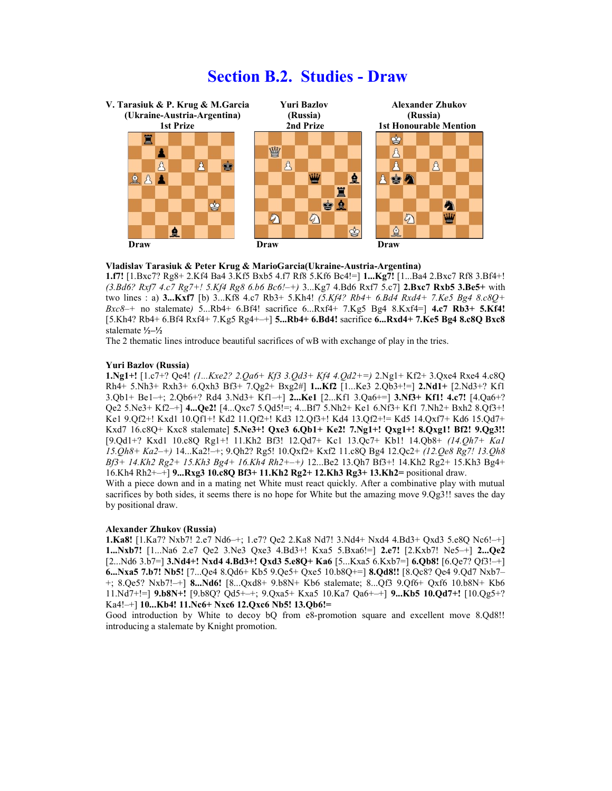## Section B.2. Studies - Draw



#### Vladislav Tarasiuk & Peter Krug & MarioGarcia(Ukraine-Austria-Argentina)

1.f7! [1.Bxc7? Rg8+ 2.Kf4 Ba4 3.Kf5 Bxb5 4.f7 Rf8 5.Kf6 Bc4!=] 1...Kg7! [1...Ba4 2.Bxc7 Rf8 3.Bf4+!  $(3. Bd6? Rxf7 4.c7 Rg7 + 1.5Kf4 Rg8 6.b6 Bc6! - +)$  3...Kg7 4.Bd6 Rxf7 5.c7] 2.Bxc7 Rxb5 3.Be5+ with two lines : a)  $3...Kxf7$  [b)  $3...Kf8$  4.c7 Rb3+ 5.Kh4! (5.Kf4? Rb4+ 6.Bd4 Rxd4+ 7.Ke5 Bg4 8.c8O+  $Bxc8$ -+ no stalemate) 5...Rb4+ 6.Bf4! sacrifice 6...Rxf4+ 7.Kg5 Bg4 8.Kxf4=  $14.57$  Rb3+ 5.Kf4! [5.Kh4? Rb4+ 6.Bf4 Rxf4+ 7.Kg5 Rg4+–+] 5...Rb4+ 6.Bd4! sacrifice 6...Rxd4+ 7.Ke5 Bg4 8.c8Q Bxc8 stalemate ½–½

The 2 thematic lines introduce beautiful sacrifices of wB with exchange of play in the tries.

## Yuri Bazlov (Russia)

1.Ng1+! [1.c7+? Qe4! (1...Kxe2? 2.Qa6+ Kf3 3.Qd3+ Kf4 4.Qd2+=) 2.Ng1+ Kf2+ 3.Qxe4 Rxe4 4.c8Q Rh4+ 5.Nh3+ Rxh3+ 6.Qxh3 Bf3+ 7.Qg2+ Bxg2#] 1...Kf2 [1...Ke3 2.Qb3+!=] 2.Nd1+ [2.Nd3+? Kf1 3.Qb1+ Be1–+; 2.Qb6+? Rd4 3.Nd3+ Kf1–+] 2...Ke1 [2...Kf1 3.Qa6+=] 3.Nf3+ Kf1! 4.c7! [4.Qa6+? Qe2 5.Ne3+ Kf2–+] 4...Qe2! [4...Qxc7 5.Qd5!=; 4...Bf7 5.Nh2+ Ke1 6.Nf3+ Kf1 7.Nh2+ Bxh2 8.Qf3+! Ke1 9.Qf2+! Kxd1 10.Qf1+! Kd2 11.Qf2+! Kd3 12.Qf3+! Kd4 13.Qf2+!= Kd5 14.Qxf7+ Kd6 15.Qd7+ Kxd7 16.c8Q+ Kxc8 stalemate] 5.Ne3+! Qxe3 6.Qb1+ Ke2! 7.Ng1+! Qxg1+! 8.Qxg1! Bf2! 9.Qg3!! [9.Qd1+? Kxd1 10.c8Q Rg1+! 11.Kh2 Bf3! 12.Qd7+ Kc1 13.Qc7+ Kb1! 14.Qb8+ (14.Qh7+ Ka1 15.Qh8+ Ka2–+) 14...Ka2!–+; 9.Qh2? Rg5! 10.Qxf2+ Kxf2 11.c8Q Bg4 12.Qc2+ (12.Qe8 Rg7! 13.Qh8 Bf3+ 14.Kh2 Rg2+ 15.Kh3 Bg4+ 16.Kh4 Rh2+–+) 12...Be2 13.Qh7 Bf3+! 14.Kh2 Rg2+ 15.Kh3 Bg4+ 16.Kh4 Rh2+–+] 9...Rxg3 10.c8Q Bf3+ 11.Kh2 Rg2+ 12.Kh3 Rg3+ 13.Kh2= positional draw.

With a piece down and in a mating net White must react quickly. After a combinative play with mutual sacrifices by both sides, it seems there is no hope for White but the amazing move  $9.Qg3!!$  saves the day by positional draw.

## Alexander Zhukov (Russia)

1.Ka8! [1.Ka7? Nxb7! 2.e7 Nd6–+; 1.e7? Qe2 2.Ka8 Nd7! 3.Nd4+ Nxd4 4.Bd3+ Qxd3 5.e8Q Nc6!–+] 1...Nxb7! [1...Na6 2.e7 Qe2 3.Ne3 Qxe3 4.Bd3+! Kxa5 5.Bxa6!=] 2.e7! [2.Kxb7! Ne5–+] 2...Qe2 [2...Nd6 3.b7=] 3.Nd4+! Nxd4 4.Bd3+! Qxd3 5.e8Q+ Ka6 [5...Kxa5 6.Kxb7=] 6.Qb8! [6.Qe7? Qf3!–+] 6...Nxa5 7.b7! Nb5! [7...Qe4 8.Qd6+ Kb5 9.Qe5+ Qxe5 10.b8Q+=] 8.Qd8!! [8.Qc8? Qe4 9.Qd7 Nxb7– +; 8.Qe5? Nxb7!–+] 8...Nd6! [8...Qxd8+ 9.b8N+ Kb6 stalemate; 8...Qf3 9.Qf6+ Qxf6 10.b8N+ Kb6 11.Nd7+!=] 9.b8N+! [9.b8Q? Qd5+–+; 9.Qxa5+ Kxa5 10.Ka7 Qa6+–+] 9...Kb5 10.Qd7+! [10.Qg5+? Ka4!–+] 10...Kb4! 11.Nc6+ Nxc6 12.Qxc6 Nb5! 13.Qb6!=

Good introduction by White to decoy bQ from e8-promotion square and excellent move 8.Qd8!! introducing a stalemate by Knight promotion.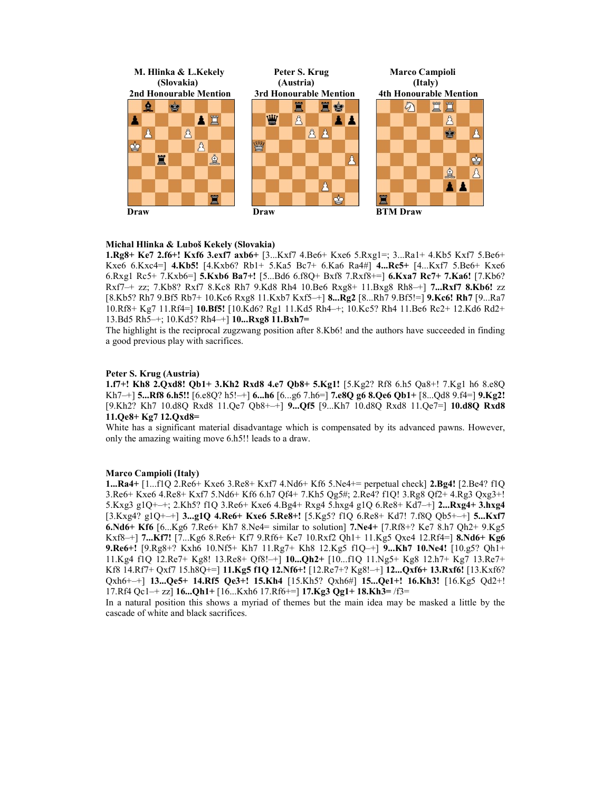

## Michal Hlinka & Luboš Kekely (Slovakia)

1.Rg8+ Ke7 2.f6+! Kxf6 3.exf7 axb6+ [3...Kxf7 4.Be6+ Kxe6 5.Rxg1=; 3...Ra1+ 4.Kb5 Kxf7 5.Be6+ Kxe6 6.Kxc4=] 4.Kb5! [4.Kxb6? Rb1+ 5.Ka5 Bc7+ 6.Ka6 Ra4#] 4...Rc5+ [4...Kxf7 5.Be6+ Kxe6 6.Rxg1 Rc5+ 7.Kxb6=] 5.Kxb6 Ba7+! [5...Bd6 6.f8Q+ Bxf8 7.Rxf8+=] 6.Kxa7 Rc7+ 7.Ka6! [7.Kb6? Rxf7–+ zz; 7.Kb8? Rxf7 8.Kc8 Rh7 9.Kd8 Rh4 10.Be6 Rxg8+ 11.Bxg8 Rh8–+] 7...Rxf7 8.Kb6! zz [8.Kb5? Rh7 9.Bf5 Rb7+ 10.Kc6 Rxg8 11.Kxb7 Kxf5–+] 8...Rg2 [8...Rh7 9.Bf5!=] 9.Kc6! Rh7 [9...Ra7 10.Rf8+ Kg7 11.Rf4=] 10.Bf5! [10.Kd6? Rg1 11.Kd5 Rh4–+; 10.Kc5? Rh4 11.Be6 Rc2+ 12.Kd6 Rd2+ 13.Bd5 Rh5–+; 10.Kd5? Rh4–+] 10...Rxg8 11.Bxh7=

The highlight is the reciprocal zugzwang position after 8.Kb6! and the authors have succeeded in finding a good previous play with sacrifices.

## Peter S. Krug (Austria)

1.f7+! Kh8 2.Qxd8! Qb1+ 3.Kh2 Rxd8 4.e7 Qb8+ 5.Kg1! [5.Kg2? Rf8 6.h5 Qa8+! 7.Kg1 h6 8.e8Q Kh7–+] 5...Rf8 6.h5!!  $[6. e8Q$ ? h5!–+] 6...h6  $[6... g6 7.h6=$ ] 7.e8Q g6 8.Qe6 Qb1+  $[8..Qd8 9.f4=]$  9.Kg2! [9.Kh2? Kh7 10.d8Q Rxd8 11.Qe7 Qb8+–+] 9...Qf5 [9...Kh7 10.d8Q Rxd8 11.Qe7=] 10.d8Q Rxd8 11.Qe8+ Kg7 12.Qxd8=

White has a significant material disadvantage which is compensated by its advanced pawns. However, only the amazing waiting move 6.h5!! leads to a draw.

## Marco Campioli (Italy)

1...Ra4+ [1...f1Q 2.Re6+ Kxe6 3.Re8+ Kxf7 4.Nd6+ Kf6 5.Ne4+= perpetual check] 2.Bg4! [2.Be4? f1Q 3.Re6+ Kxe6 4.Re8+ Kxf7 5.Nd6+ Kf6 6.h7 Qf4+ 7.Kh5 Qg5#; 2.Re4? f1Q! 3.Rg8 Qf2+ 4.Rg3 Qxg3+! 5.Kxg3 g1Q+–+; 2.Kh5? f1Q 3.Re6+ Kxe6 4.Bg4+ Rxg4 5.hxg4 g1Q 6.Re8+ Kd7–+] 2...Rxg4+ 3.hxg4 [3.Kxg4? g1Q+–+] 3...g1Q 4.Re6+ Kxe6 5.Re8+! [5.Kg5? f1Q 6.Re8+ Kd7! 7.f8Q Qb5+–+] 5...Kxf7 6.Nd6+ Kf6 [6...Kg6 7.Re6+ Kh7 8.Ne4= similar to solution] 7.Ne4+ [7.Rf8+? Ke7 8.h7 Qh2+ 9.Kg5 Kxf8–+] 7...Kf7! [7...Kg6 8.Re6+ Kf7 9.Rf6+ Ke7 10.Rxf2 Qh1+ 11.Kg5 Qxe4 12.Rf4=] 8.Nd6+ Kg6 9.Re6+! [9.Rg8+? Kxh6 10.Nf5+ Kh7 11.Rg7+ Kh8 12.Kg5 f1Q–+] 9...Kh7 10.Ne4! [10.g5? Qh1+ 11.Kg4 f1Q 12.Re7+ Kg8! 13.Re8+ Qf8!–+] 10...Qh2+ [10...f1Q 11.Ng5+ Kg8 12.h7+ Kg7 13.Re7+ Kf8 14.Rf7+ Qxf7 15.h8Q+=] 11.Kg5 f1Q 12.Nf6+! [12.Re7+? Kg8!–+] 12...Qxf6+ 13.Rxf6! [13.Kxf6? Qxh6+–+] 13...Qe5+ 14.Rf5 Qe3+! 15.Kh4 [15.Kh5? Qxh6#] 15...Qe1+! 16.Kh3! [16.Kg5 Qd2+! 17.Rf4 Qc1–+ zz] 16...Qh1+ [16...Kxh6 17.Rf6+=] 17.Kg3 Qg1+ 18.Kh3= /f3=

In a natural position this shows a myriad of themes but the main idea may be masked a little by the cascade of white and black sacrifices.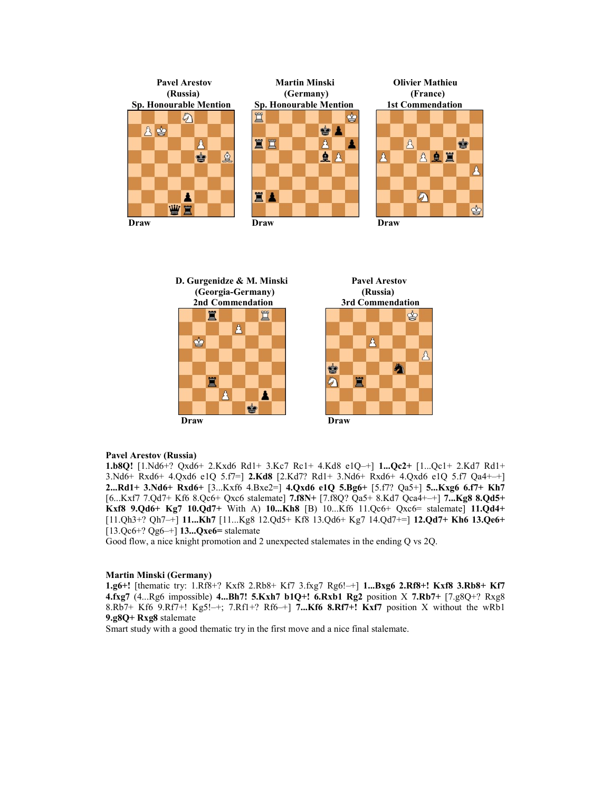



#### Pavel Arestov (Russia)

1.b8Q! [1.Nd6+? Qxd6+ 2.Kxd6 Rd1+ 3.Kc7 Rc1+ 4.Kd8 e1Q–+] 1...Qc2+ [1...Qc1+ 2.Kd7 Rd1+ 3.Nd6+ Rxd6+ 4.Qxd6 e1Q 5.f7=] 2.Kd8 [2.Kd7? Rd1+ 3.Nd6+ Rxd6+ 4.Qxd6 e1Q 5.f7 Qa4+–+] 2...Rd1+ 3.Nd6+ Rxd6+ [3...Kxf6 4.Bxe2=] 4.Qxd6 e1Q 5.Bg6+ [5.f7? Qa5+] 5...Kxg6 6.f7+ Kh7 [6...Kxf7 7.Qd7+ Kf6 8.Qc6+ Qxc6 stalemate] 7.f8N+ [7.f8Q? Qa5+ 8.Kd7 Qca4+–+] 7...Kg8 8.Qd5+ Kxf8 9.Qd6+ Kg7 10.Qd7+ With A) 10...Kh8 [B) 10...Kf6 11.Qc6+ Qxc6= stalemate] 11.Qd4+ [11.Qh3+? Qh7–+] 11...Kh7 [11...Kg8 12.Qd5+ Kf8 13.Qd6+ Kg7 14.Qd7+=] 12.Qd7+ Kh6 13.Qe6+  $[13.Qc6+?Qg6-+]$  13... $Qxe6=$  stalemate

Good flow, a nice knight promotion and 2 unexpected stalemates in the ending Q vs 2Q.

#### Martin Minski (Germany)

1.g6+! [thematic try: 1.Rf8+? Kxf8 2.Rb8+ Kf7 3.fxg7 Rg6!–+] 1...Bxg6 2.Rf8+! Kxf8 3.Rb8+ Kf7 4.fxg7 (4...Rg6 impossible) 4...Bh7! 5.Kxh7 b1Q+! 6.Rxb1 Rg2 position X 7.Rb7+ [7.g8Q+? Rxg8 8.Rb7+ Kf6 9.Rf7+! Kg5!-+; 7.Rf1+? Rf6-+] 7...Kf6 8.Rf7+! Kxf7 position X without the wRb1 9.g8Q+ Rxg8 stalemate

Smart study with a good thematic try in the first move and a nice final stalemate.